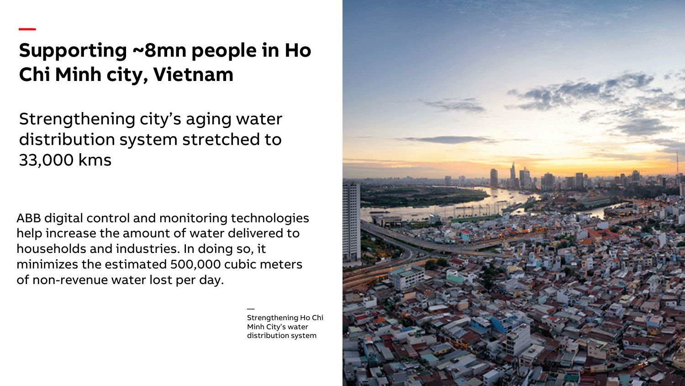## **Supporting ~8mn people in Ho Chi Minh city, Vietnam**

—

Strengthening city's aging water distribution system stretched to 33,000 kms

ABB digital control and monitoring technologies help increase the amount of water delivered to households and industries. In doing so, it minimizes the estimated 500,000 cubic meters of non-revenue water lost per day.

> — Strengthening Ho Chi Minh City's water distribution system